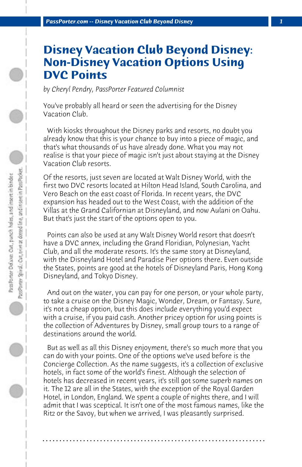## **Disney Vacation Club Beyond Disney: Non-Disney Vacation Options Using DVC Points**

*by Cheryl Pendry, PassPorter Featured Columnist*

You've probably all heard or seen the advertising for the Disney Vacation Club.

 With kiosks throughout the Disney parks and resorts, no doubt you already know that this is your chance to buy into a piece of magic, and that's what thousands of us have already done. What you may not realise is that your piece of magic isn't just about staying at the Disney Vacation Club resorts.

Of the resorts, just seven are located at Walt Disney World, with the first two DVC resorts located at Hilton Head Island, South Carolina, and Vero Beach on the east coast of Florida. In recent years, the DVC expansion has headed out to the West Coast, with the addition of the Villas at the Grand Californian at Disneyland, and now Aulani on Oahu. But that's just the start of the options open to you.

 Points can also be used at any Walt Disney World resort that doesn't have a DVC annex, including the Grand Floridian, Polynesian, Yacht Club, and all the moderate resorts. It's the same story at Disneyland, with the Disneyland Hotel and Paradise Pier options there. Even outside the States, points are good at the hotels of Disneyland Paris, Hong Kong Disneyland, and Tokyo Disney.

 And out on the water, you can pay for one person, or your whole party, to take a cruise on the Disney Magic, Wonder, Dream, or Fantasy. Sure, it's not a cheap option, but this does include everything you'd expect with a cruise, if you paid cash. Another pricey option for using points is the collection of Adventures by Disney, small group tours to a range of destinations around the world.

 But as well as all this Disney enjoyment, there's so much more that you can do with your points. One of the options we've used before is the Concierge Collection. As the name suggests, it's a collection of exclusive hotels, in fact some of the world's finest. Although the selection of hotels has decreased in recent years, it's still got some superb names on it. The 12 are all in the States, with the exception of the Royal Garden Hotel, in London, England. We spent a couple of nights there, and I will admit that I was sceptical. It isn't one of the most famous names, like the Ritz or the Savoy, but when we arrived, I was pleasantly surprised.

**. . . . . . . . . . . . . . . . . . . . . . . . . . . . . . . . . . . . . . . . . . . . . . . . . . . . . . . . . . . . . . . . . .**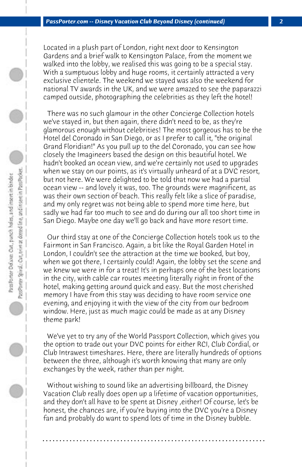Located in a plush part of London, right next door to Kensington Gardens and a brief walk to Kensington Palace, from the moment we walked into the lobby, we realised this was going to be a special stay. With a sumptuous lobby and huge rooms, it certainly attracted a very exclusive clientele. The weekend we stayed was also the weekend for national TV awards in the UK, and we were amazed to see the paparazzi camped outside, photographing the celebrities as they left the hotel!

 There was no such glamour in the other Concierge Collection hotels we've stayed in, but then again, there didn't need to be, as they're glamorous enough without celebrities! The most gorgeous has to be the Hotel del Coronado in San Diego, or as I prefer to call it, "the original Grand Floridian!" As you pull up to the del Coronado, you can see how closely the Imagineers based the design on this beautiful hotel. We hadn't booked an ocean view, and we're certainly not used to upgrades when we stay on our points, as it's virtually unheard of at a DVC resort, but not here. We were delighted to be told that now we had a partial ocean view -- and lovely it was, too. The grounds were magnificent, as was their own section of beach. This really felt like a slice of paradise, and my only regret was not being able to spend more time here, but sadly we had far too much to see and do during our all too short time in San Diego. Maybe one day we'll go back and have more resort time.

 Our third stay at one of the Concierge Collection hotels took us to the Fairmont in San Francisco. Again, a bit like the Royal Garden Hotel in London, I couldn't see the attraction at the time we booked, but boy, when we got there, I certainly could! Again, the lobby set the scene and we knew we were in for a treat! It's in perhaps one of the best locations in the city, with cable car routes meeting literally right in front of the hotel, making getting around quick and easy. But the most cherished memory I have from this stay was deciding to have room service one evening, and enjoying it with the view of the city from our bedroom window. Here, just as much magic could be made as at any Disney theme park!

 We've yet to try any of the World Passport Collection, which gives you the option to trade out your DVC points for either RCI, Club Cordial, or Club Intrawest timeshares. Here, there are literally hundreds of options between the three, although it's worth knowing that many are only exchanges by the week, rather than per night.

 Without wishing to sound like an advertising billboard, the Disney Vacation Club really does open up a lifetime of vacation opportunities, and they don't all have to be spent at Disney ,either! Of course, let's be honest, the chances are, if you're buying into the DVC you're a Disney fan and probably do want to spend lots of time in the Disney bubble.

**. . . . . . . . . . . . . . . . . . . . . . . . . . . . . . . . . . . . . . . . . . . . . . . . . . . . . . . . . . . . . . . . . .**